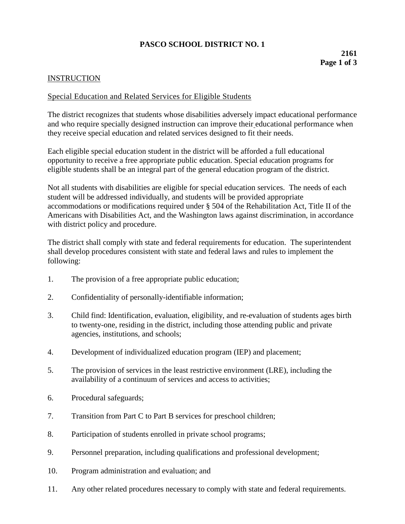# **PASCO SCHOOL DISTRICT NO. 1**

## **INSTRUCTION**

### Special Education and Related Services for Eligible Students

The district recognizes that students whose disabilities adversely impact educational performance and who require specially designed instruction can improve their educational performance when they receive special education and related services designed to fit their needs.

Each eligible special education student in the district will be afforded a full educational opportunity to receive a free appropriate public education. Special education programs for eligible students shall be an integral part of the general education program of the district.

Not all students with disabilities are eligible for special education services. The needs of each student will be addressed individually, and students will be provided appropriate accommodations or modifications required under § 504 of the Rehabilitation Act, Title II of the Americans with Disabilities Act, and the Washington laws against discrimination, in accordance with district policy and procedure.

The district shall comply with state and federal requirements for education. The superintendent shall develop procedures consistent with state and federal laws and rules to implement the following:

- 1. The provision of a free appropriate public education;
- 2. Confidentiality of personally-identifiable information;
- 3. Child find: Identification, evaluation, eligibility, and re-evaluation of students ages birth to twenty-one, residing in the district, including those attending public and private agencies, institutions, and schools;
- 4. Development of individualized education program (IEP) and placement;
- 5. The provision of services in the least restrictive environment (LRE), including the availability of a continuum of services and access to activities;
- 6. Procedural safeguards;
- 7. Transition from Part C to Part B services for preschool children;
- 8. Participation of students enrolled in private school programs;
- 9. Personnel preparation, including qualifications and professional development;
- 10. Program administration and evaluation; and
- 11. Any other related procedures necessary to comply with state and federal requirements.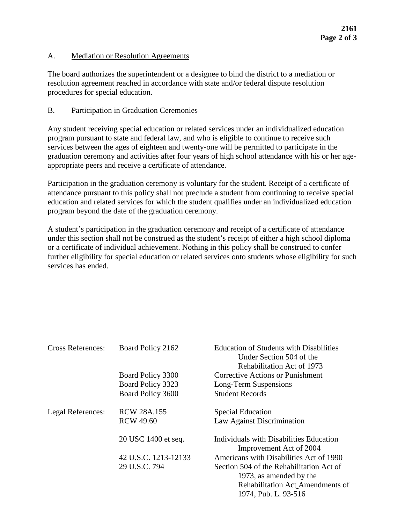### A. Mediation or Resolution Agreements

The board authorizes the superintendent or a designee to bind the district to a mediation or resolution agreement reached in accordance with state and/or federal dispute resolution procedures for special education.

### B. Participation in Graduation Ceremonies

Any student receiving special education or related services under an individualized education program pursuant to state and federal law, and who is eligible to continue to receive such services between the ages of eighteen and twenty-one will be permitted to participate in the graduation ceremony and activities after four years of high school attendance with his or her ageappropriate peers and receive a certificate of attendance.

Participation in the graduation ceremony is voluntary for the student. Receipt of a certificate of attendance pursuant to this policy shall not preclude a student from continuing to receive special education and related services for which the student qualifies under an individualized education program beyond the date of the graduation ceremony.

A student's participation in the graduation ceremony and receipt of a certificate of attendance under this section shall not be construed as the student's receipt of either a high school diploma or a certificate of individual achievement. Nothing in this policy shall be construed to confer further eligibility for special education or related services onto students whose eligibility for such services has ended.

| <b>Cross References:</b> | Board Policy 2162    | <b>Education of Students with Disabilities</b><br>Under Section 504 of the<br>Rehabilitation Act of 1973 |
|--------------------------|----------------------|----------------------------------------------------------------------------------------------------------|
|                          | Board Policy 3300    | Corrective Actions or Punishment                                                                         |
|                          | Board Policy 3323    | Long-Term Suspensions                                                                                    |
|                          | Board Policy 3600    | <b>Student Records</b>                                                                                   |
| Legal References:        | <b>RCW 28A.155</b>   | <b>Special Education</b>                                                                                 |
|                          | <b>RCW 49.60</b>     | Law Against Discrimination                                                                               |
|                          | 20 USC 1400 et seq.  | Individuals with Disabilities Education<br>Improvement Act of 2004                                       |
|                          | 42 U.S.C. 1213-12133 | Americans with Disabilities Act of 1990                                                                  |
|                          | 29 U.S.C. 794        | Section 504 of the Rehabilitation Act of                                                                 |
|                          |                      | 1973, as amended by the                                                                                  |
|                          |                      | Rehabilitation Act Amendments of                                                                         |
|                          |                      | 1974, Pub. L. 93-516                                                                                     |